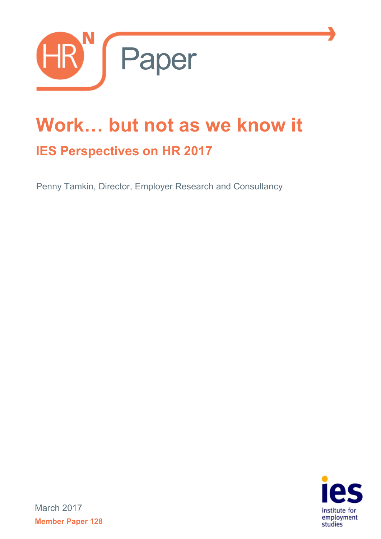

# **Work… but not as we know it IES Perspectives on HR 2017**

Penny Tamkin, Director, Employer Research and Consultancy



March 2017 **Member Paper 128**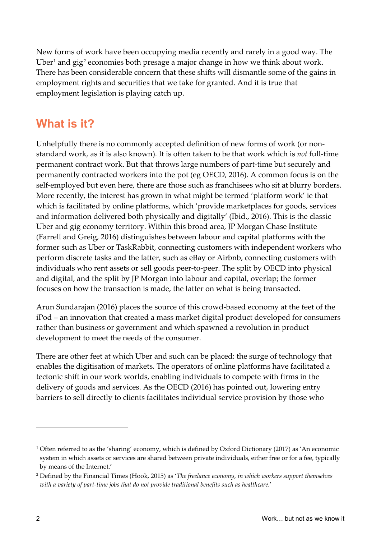New forms of work have been occupying media recently and rarely in a good way. The Uber<sup>[1](#page-1-0)</sup> and gig<sup>[2](#page-1-1)</sup> economies both presage a major change in how we think about work. There has been considerable concern that these shifts will dismantle some of the gains in employment rights and securities that we take for granted. And it is true that employment legislation is playing catch up.

## **What is it?**

Unhelpfully there is no commonly accepted definition of new forms of work (or nonstandard work, as it is also known). It is often taken to be that work which is *not* full-time permanent contract work. But that throws large numbers of part-time but securely and permanently contracted workers into the pot (eg OECD, 2016). A common focus is on the self-employed but even here, there are those such as franchisees who sit at blurry borders. More recently, the interest has grown in what might be termed 'platform work' ie that which is facilitated by online platforms, which 'provide marketplaces for goods, services and information delivered both physically and digitally' (Ibid., 2016). This is the classic Uber and gig economy territory. Within this broad area, JP Morgan Chase Institute (Farrell and Greig, 2016) distinguishes between labour and capital platforms with the former such as Uber or TaskRabbit, connecting customers with independent workers who perform discrete tasks and the latter, such as eBay or Airbnb, connecting customers with individuals who rent assets or sell goods peer-to-peer. The split by OECD into physical and digital, and the split by JP Morgan into labour and capital, overlap; the former focuses on how the transaction is made, the latter on what is being transacted.

Arun Sundarajan (2016) places the source of this crowd-based economy at the feet of the iPod – an innovation that created a mass market digital product developed for consumers rather than business or government and which spawned a revolution in product development to meet the needs of the consumer.

There are other feet at which Uber and such can be placed: the surge of technology that enables the digitisation of markets. The operators of online platforms have facilitated a tectonic shift in our work worlds, enabling individuals to compete with firms in the delivery of goods and services. As the OECD (2016) has pointed out, lowering entry barriers to sell directly to clients facilitates individual service provision by those who

-

<span id="page-1-0"></span><sup>1</sup> Often referred to as the 'sharing' economy, which is defined by Oxford Dictionary (2017) as 'An economic system in which assets or services are shared between private individuals, either free or for a fee, typically by means of the Internet.'

<span id="page-1-1"></span><sup>2</sup> Defined by the Financial Times (Hook, 2015) as '*The freelance economy, in which workers support themselves with a variety of part-time jobs that do not provide traditional benefits such as healthcare.*'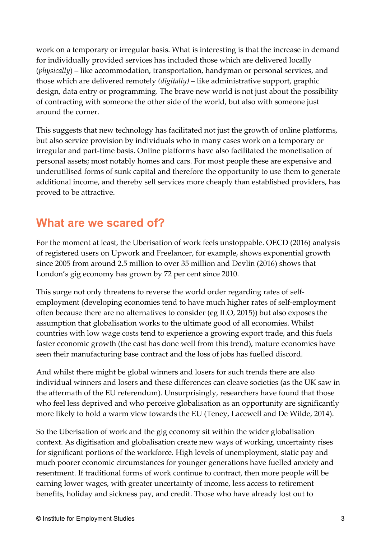work on a temporary or irregular basis. What is interesting is that the increase in demand for individually provided services has included those which are delivered locally (*physically*) – like accommodation, transportation, handyman or personal services, and those which are delivered remotely *(digitally)* – like administrative support, graphic design, data entry or programming. The brave new world is not just about the possibility of contracting with someone the other side of the world, but also with someone just around the corner.

This suggests that new technology has facilitated not just the growth of online platforms, but also service provision by individuals who in many cases work on a temporary or irregular and part-time basis. Online platforms have also facilitated the monetisation of personal assets; most notably homes and cars. For most people these are expensive and underutilised forms of sunk capital and therefore the opportunity to use them to generate additional income, and thereby sell services more cheaply than established providers, has proved to be attractive.

#### **What are we scared of?**

For the moment at least, the Uberisation of work feels unstoppable. OECD (2016) analysis of registered users on Upwork and Freelancer, for example, shows exponential growth since 2005 from around 2.5 million to over 35 million and Devlin (2016) shows that London's gig economy has grown by 72 per cent since 2010.

This surge not only threatens to reverse the world order regarding rates of selfemployment (developing economies tend to have much higher rates of self-employment often because there are no alternatives to consider (eg ILO, 2015)) but also exposes the assumption that globalisation works to the ultimate good of all economies. Whilst countries with low wage costs tend to experience a growing export trade, and this fuels faster economic growth (the east has done well from this trend), mature economies have seen their manufacturing base contract and the loss of jobs has fuelled discord.

And whilst there might be global winners and losers for such trends there are also individual winners and losers and these differences can cleave societies (as the UK saw in the aftermath of the EU referendum). Unsurprisingly, researchers have found that those who feel less deprived and who perceive globalisation as an opportunity are significantly more likely to hold a warm view towards the EU (Teney, Lacewell and De Wilde, 2014).

So the Uberisation of work and the gig economy sit within the wider globalisation context. As digitisation and globalisation create new ways of working, uncertainty rises for significant portions of the workforce. High levels of unemployment, static pay and much poorer economic circumstances for younger generations have fuelled anxiety and resentment. If traditional forms of work continue to contract, then more people will be earning lower wages, with greater uncertainty of income, less access to retirement benefits, holiday and sickness pay, and credit. Those who have already lost out to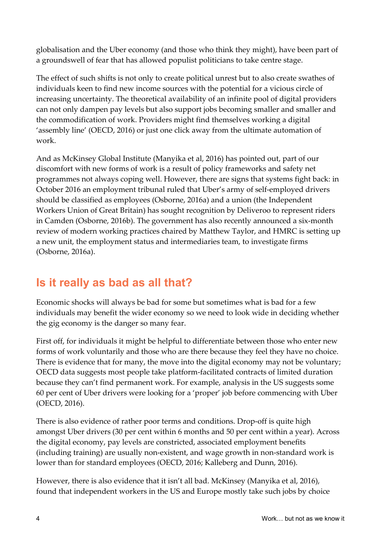globalisation and the Uber economy (and those who think they might), have been part of a groundswell of fear that has allowed populist politicians to take centre stage.

The effect of such shifts is not only to create political unrest but to also create swathes of individuals keen to find new income sources with the potential for a vicious circle of increasing uncertainty. The theoretical availability of an infinite pool of digital providers can not only dampen pay levels but also support jobs becoming smaller and smaller and the commodification of work. Providers might find themselves working a digital 'assembly line' (OECD, 2016) or just one click away from the ultimate automation of work.

And as McKinsey Global Institute (Manyika et al, 2016) has pointed out, part of our discomfort with new forms of work is a result of policy frameworks and safety net programmes not always coping well. However, there are signs that systems fight back: in October 2016 an employment tribunal ruled that Uber's army of self-employed drivers should be classified as employees (Osborne, 2016a) and a union (the Independent Workers Union of Great Britain) has sought recognition by Deliveroo to represent riders in Camden (Osborne, 2016b). The government has also recently announced a six-month review of modern working practices chaired by Matthew Taylor, and HMRC is setting up a new unit, the employment status and intermediaries team, to investigate firms (Osborne, 2016a).

## **Is it really as bad as all that?**

Economic shocks will always be bad for some but sometimes what is bad for a few individuals may benefit the wider economy so we need to look wide in deciding whether the gig economy is the danger so many fear.

First off, for individuals it might be helpful to differentiate between those who enter new forms of work voluntarily and those who are there because they feel they have no choice. There is evidence that for many, the move into the digital economy may not be voluntary; OECD data suggests most people take platform-facilitated contracts of limited duration because they can't find permanent work. For example, analysis in the US suggests some 60 per cent of Uber drivers were looking for a 'proper' job before commencing with Uber (OECD, 2016).

There is also evidence of rather poor terms and conditions. Drop-off is quite high amongst Uber drivers (30 per cent within 6 months and 50 per cent within a year). Across the digital economy, pay levels are constricted, associated employment benefits (including training) are usually non-existent, and wage growth in non-standard work is lower than for standard employees (OECD, 2016; Kalleberg and Dunn, 2016).

However, there is also evidence that it isn't all bad. McKinsey (Manyika et al, 2016), found that independent workers in the US and Europe mostly take such jobs by choice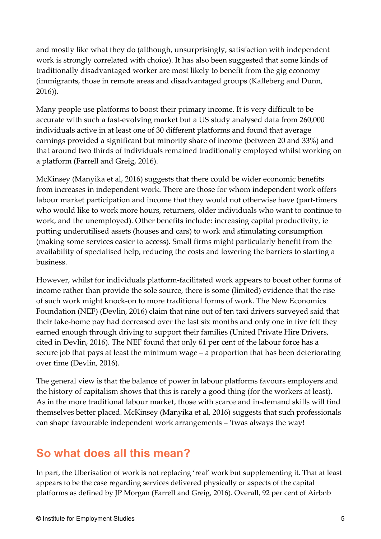and mostly like what they do (although, unsurprisingly, satisfaction with independent work is strongly correlated with choice). It has also been suggested that some kinds of traditionally disadvantaged worker are most likely to benefit from the gig economy (immigrants, those in remote areas and disadvantaged groups (Kalleberg and Dunn, 2016)).

Many people use platforms to boost their primary income. It is very difficult to be accurate with such a fast-evolving market but a US study analysed data from 260,000 individuals active in at least one of 30 different platforms and found that average earnings provided a significant but minority share of income (between 20 and 33%) and that around two thirds of individuals remained traditionally employed whilst working on a platform (Farrell and Greig, 2016).

McKinsey (Manyika et al, 2016) suggests that there could be wider economic benefits from increases in independent work. There are those for whom independent work offers labour market participation and income that they would not otherwise have (part-timers who would like to work more hours, returners, older individuals who want to continue to work, and the unemployed). Other benefits include: increasing capital productivity, ie putting underutilised assets (houses and cars) to work and stimulating consumption (making some services easier to access). Small firms might particularly benefit from the availability of specialised help, reducing the costs and lowering the barriers to starting a business.

However, whilst for individuals platform-facilitated work appears to boost other forms of income rather than provide the sole source, there is some (limited) evidence that the rise of such work might knock-on to more traditional forms of work. The New Economics Foundation (NEF) (Devlin, 2016) claim that nine out of ten taxi drivers surveyed said that their take-home pay had decreased over the last six months and only one in five felt they earned enough through driving to support their families (United Private Hire Drivers, cited in Devlin, 2016). The NEF found that only 61 per cent of the labour force has a secure job that pays at least the minimum wage – a proportion that has been deteriorating over time (Devlin, 2016).

The general view is that the balance of power in labour platforms favours employers and the history of capitalism shows that this is rarely a good thing (for the workers at least). As in the more traditional labour market, those with scarce and in-demand skills will find themselves better placed. McKinsey (Manyika et al, 2016) suggests that such professionals can shape favourable independent work arrangements – 'twas always the way!

## **So what does all this mean?**

In part, the Uberisation of work is not replacing 'real' work but supplementing it. That at least appears to be the case regarding services delivered physically or aspects of the capital platforms as defined by JP Morgan (Farrell and Greig, 2016). Overall, 92 per cent of Airbnb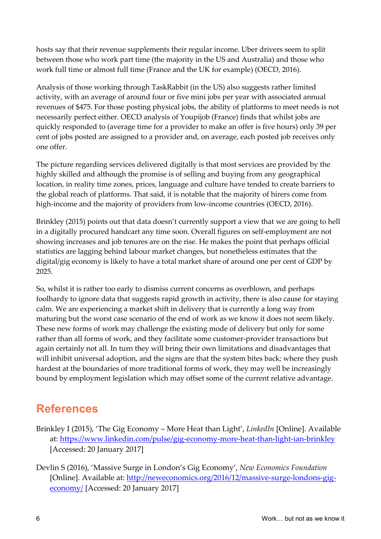hosts say that their revenue supplements their regular income. Uber drivers seem to split between those who work part time (the majority in the US and Australia) and those who work full time or almost full time (France and the UK for example) (OECD, 2016).

Analysis of those working through TaskRabbit (in the US) also suggests rather limited activity, with an average of around four or five mini jobs per year with associated annual revenues of \$475. For those posting physical jobs, the ability of platforms to meet needs is not necessarily perfect either. OECD analysis of Youpijob (France) finds that whilst jobs are quickly responded to (average time for a provider to make an offer is five hours) only 39 per cent of jobs posted are assigned to a provider and, on average, each posted job receives only one offer.

The picture regarding services delivered digitally is that most services are provided by the highly skilled and although the promise is of selling and buying from any geographical location, in reality time zones, prices, language and culture have tended to create barriers to the global reach of platforms. That said, it is notable that the majority of hirers come from high-income and the majority of providers from low-income countries (OECD, 2016).

Brinkley (2015) points out that data doesn't currently support a view that we are going to hell in a digitally procured handcart any time soon. Overall figures on self-employment are not showing increases and job tenures are on the rise. He makes the point that perhaps official statistics are lagging behind labour market changes, but nonetheless estimates that the digital/gig economy is likely to have a total market share of around one per cent of GDP by 2025.

So, whilst it is rather too early to dismiss current concerns as overblown, and perhaps foolhardy to ignore data that suggests rapid growth in activity, there is also cause for staying calm. We are experiencing a market shift in delivery that is currently a long way from maturing but the worst case scenario of the end of work as we know it does not seem likely. These new forms of work may challenge the existing mode of delivery but only for some rather than all forms of work, and they facilitate some customer-provider transactions but again certainly not all. In turn they will bring their own limitations and disadvantages that will inhibit universal adoption, and the signs are that the system bites back; where they push hardest at the boundaries of more traditional forms of work, they may well be increasingly bound by employment legislation which may offset some of the current relative advantage.

#### **References**

- Brinkley I (2015), 'The Gig Economy More Heat than Light', *LinkedIn* [Online]. Available at:<https://www.linkedin.com/pulse/gig-economy-more-heat-than-light-ian-brinkley> [Accessed: 20 January 2017]
- Devlin S (2016), 'Massive Surge in London's Gig Economy', *New Economics Foundation*  [Online]. Available at: [http://neweconomics.org/2016/12/massive-surge-londons-gig](http://neweconomics.org/2016/12/massive-surge-londons-gig-economy/)[economy/](http://neweconomics.org/2016/12/massive-surge-londons-gig-economy/) [Accessed: 20 January 2017]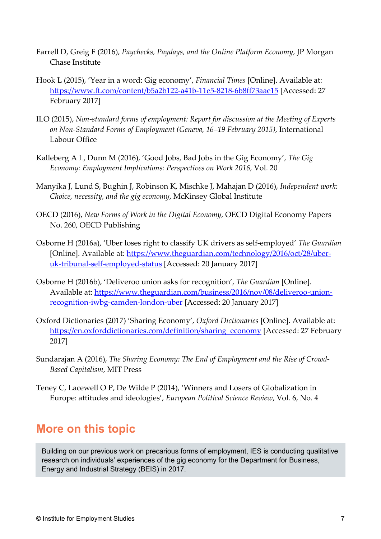- Farrell D, Greig F (2016), *Paychecks, Paydays, and the Online Platform Economy*, JP Morgan Chase Institute
- Hook L (2015), 'Year in a word: Gig economy', *Financial Times* [Online]. Available at: <https://www.ft.com/content/b5a2b122-a41b-11e5-8218-6b8ff73aae15> [Accessed: 27 February 2017]
- ILO (2015), *Non-standard forms of employment: Report for discussion at the Meeting of Experts on Non-Standard Forms of Employment (Geneva, 16–19 February 2015)*, International Labour Office
- Kalleberg A L, Dunn M (2016), 'Good Jobs, Bad Jobs in the Gig Economy', *The Gig Economy: Employment Implications: Perspectives on Work 2016,* Vol. 20
- Manyika J, Lund S, Bughin J, Robinson K, Mischke J, Mahajan D (2016), *Independent work: Choice, necessity, and the gig economy*, McKinsey Global Institute
- OECD (2016), *New Forms of Work in the Digital Economy,* OECD Digital Economy Papers No. 260, OECD Publishing
- Osborne H (2016a), 'Uber loses right to classify UK drivers as self-employed' *The Guardian* [Online]. Available at: [https://www.theguardian.com/technology/2016/oct/28/uber](https://www.theguardian.com/technology/2016/oct/28/uber-uk-tribunal-self-employed-status)[uk-tribunal-self-employed-status](https://www.theguardian.com/technology/2016/oct/28/uber-uk-tribunal-self-employed-status) [Accessed: 20 January 2017]
- Osborne H (2016b), 'Deliveroo union asks for recognition', *The Guardian* [Online]. Available at: [https://www.theguardian.com/business/2016/nov/08/deliveroo-union](https://www.theguardian.com/business/2016/nov/08/deliveroo-union-recognition-iwbg-camden-london-uber)[recognition-iwbg-camden-london-uber](https://www.theguardian.com/business/2016/nov/08/deliveroo-union-recognition-iwbg-camden-london-uber) [Accessed: 20 January 2017]
- Oxford Dictionaries (2017) 'Sharing Economy', *Oxford Dictionaries* [Online]. Available at: [https://en.oxforddictionaries.com/definition/sharing\\_economy](https://en.oxforddictionaries.com/definition/sharing_economy) [Accessed: 27 February 2017]
- Sundarajan A (2016), *The Sharing Economy: The End of Employment and the Rise of Crowd-Based Capitalism*, MIT Press
- Teney C, Lacewell O P, De Wilde P (2014), 'Winners and Losers of Globalization in Europe: attitudes and ideologies', *European Political Science Review*, Vol. 6, No. 4

#### **More on this topic**

Building on our previous work on precarious forms of employment, IES is conducting qualitative research on individuals' experiences of the gig economy for the Department for Business, Energy and Industrial Strategy (BEIS) in 2017.